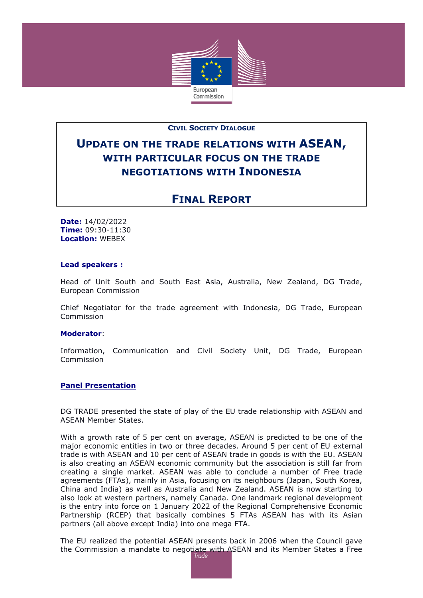

## **CIVIL SOCIETY DIALOGUE**

# **UPDATE ON THE TRADE RELATIONS WITH ASEAN, WITH PARTICULAR FOCUS ON THE TRADE NEGOTIATIONS WITH INDONESIA**

# **FINAL REPORT**

**Date:** 14/02/2022 **Time:** 09:30-11:30 **Location:** WEBEX

#### **Lead speakers :**

Head of Unit South and South East Asia, Australia, New Zealand, DG Trade, European Commission

Chief Negotiator for the trade agreement with Indonesia, DG Trade, European **Commission** 

#### **Moderator**:

Information, Communication and Civil Society Unit, DG Trade, European Commission

#### **Panel Presentation**

DG TRADE presented the state of play of the EU trade relationship with ASEAN and ASEAN Member States.

With a growth rate of 5 per cent on average, ASEAN is predicted to be one of the major economic entities in two or three decades. Around 5 per cent of EU external trade is with ASEAN and 10 per cent of ASEAN trade in goods is with the EU. ASEAN is also creating an ASEAN economic community but the association is still far from creating a single market. ASEAN was able to conclude a number of Free trade agreements (FTAs), mainly in Asia, focusing on its neighbours (Japan, South Korea, China and India) as well as Australia and New Zealand. ASEAN is now starting to also look at western partners, namely Canada. One landmark regional development is the entry into force on 1 January 2022 of the Regional Comprehensive Economic Partnership (RCEP) that basically combines 5 FTAs ASEAN has with its Asian partners (all above except India) into one mega FTA.

The EU realized the potential ASEAN presents back in 2006 when the Council gave the Commission a mandate to negotiate with ASEAN and its Member States a Free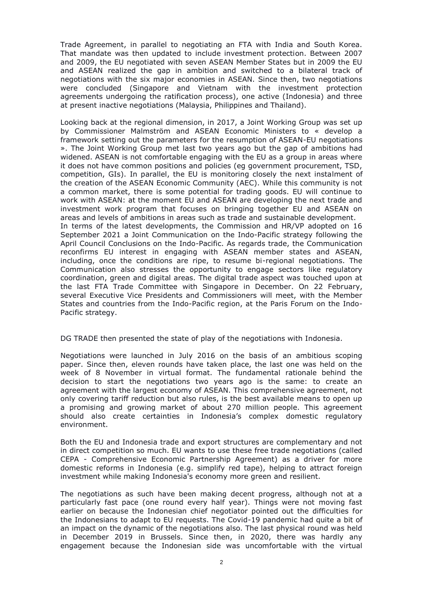Trade Agreement, in parallel to negotiating an FTA with India and South Korea. That mandate was then updated to include investment protection. Between 2007 and 2009, the EU negotiated with seven ASEAN Member States but in 2009 the EU and ASEAN realized the gap in ambition and switched to a bilateral track of negotiations with the six major economies in ASEAN. Since then, two negotiations were concluded (Singapore and Vietnam with the investment protection agreements undergoing the ratification process), one active (Indonesia) and three at present inactive negotiations (Malaysia, Philippines and Thailand).

Looking back at the regional dimension, in 2017, a Joint Working Group was set up by Commissioner Malmström and ASEAN Economic Ministers to « develop a framework setting out the parameters for the resumption of ASEAN-EU negotiations ». The Joint Working Group met last two years ago but the gap of ambitions had widened. ASEAN is not comfortable engaging with the EU as a group in areas where it does not have common positions and policies (eg government procurement, TSD, competition, GIs). In parallel, the EU is monitoring closely the next instalment of the creation of the ASEAN Economic Community (AEC). While this community is not a common market, there is some potential for trading goods. EU will continue to work with ASEAN: at the moment EU and ASEAN are developing the next trade and investment work program that focuses on bringing together EU and ASEAN on areas and levels of ambitions in areas such as trade and sustainable development. In terms of the latest developments, the Commission and HR/VP adopted on 16 September 2021 a Joint Communication on the Indo-Pacific strategy following the April Council Conclusions on the Indo-Pacific. As regards trade, the Communication reconfirms EU interest in engaging with ASEAN member states and ASEAN, including, once the conditions are ripe, to resume bi-regional negotiations. The Communication also stresses the opportunity to engage sectors like regulatory coordination, green and digital areas. The digital trade aspect was touched upon at the last FTA Trade Committee with Singapore in December. On 22 February, several Executive Vice Presidents and Commissioners will meet, with the Member States and countries from the Indo-Pacific region, at the Paris Forum on the Indo-Pacific strategy.

DG TRADE then presented the state of play of the negotiations with Indonesia.

Negotiations were launched in July 2016 on the basis of an ambitious scoping paper. Since then, eleven rounds have taken place, the last one was held on the week of 8 November in virtual format. The fundamental rationale behind the decision to start the negotiations two years ago is the same: to create an agreement with the largest economy of ASEAN. This comprehensive agreement, not only covering tariff reduction but also rules, is the best available means to open up a promising and growing market of about 270 million people. This agreement should also create certainties in Indonesia's complex domestic regulatory environment.

Both the EU and Indonesia trade and export structures are complementary and not in direct competition so much. EU wants to use these free trade negotiations (called CEPA - Comprehensive Economic Partnership Agreement) as a driver for more domestic reforms in Indonesia (e.g. simplify red tape), helping to attract foreign investment while making Indonesia's economy more green and resilient.

The negotiations as such have been making decent progress, although not at a particularly fast pace (one round every half year). Things were not moving fast earlier on because the Indonesian chief negotiator pointed out the difficulties for the Indonesians to adapt to EU requests. The Covid-19 pandemic had quite a bit of an impact on the dynamic of the negotiations also. The last physical round was held in December 2019 in Brussels. Since then, in 2020, there was hardly any engagement because the Indonesian side was uncomfortable with the virtual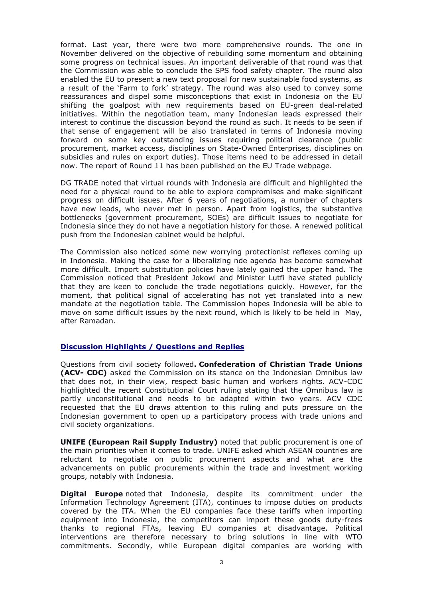format. Last year, there were two more comprehensive rounds. The one in November delivered on the objective of rebuilding some momentum and obtaining some progress on technical issues. An important deliverable of that round was that the Commission was able to conclude the SPS food safety chapter. The round also enabled the EU to present a new text proposal for new sustainable food systems, as a result of the 'Farm to fork' strategy. The round was also used to convey some reassurances and dispel some misconceptions that exist in Indonesia on the EU shifting the goalpost with new requirements based on EU-green deal-related initiatives. Within the negotiation team, many Indonesian leads expressed their interest to continue the discussion beyond the round as such. It needs to be seen if that sense of engagement will be also translated in terms of Indonesia moving forward on some key outstanding issues requiring political clearance (public procurement, market access, disciplines on State-Owned Enterprises, disciplines on subsidies and rules on export duties). Those items need to be addressed in detail now. The report of Round 11 has been published on the EU Trade webpage.

DG TRADE noted that virtual rounds with Indonesia are difficult and highlighted the need for a physical round to be able to explore compromises and make significant progress on difficult issues. After 6 years of negotiations, a number of chapters have new leads, who never met in person. Apart from logistics, the substantive bottlenecks (government procurement, SOEs) are difficult issues to negotiate for Indonesia since they do not have a negotiation history for those. A renewed political push from the Indonesian cabinet would be helpful.

The Commission also noticed some new worrying protectionist reflexes coming up in Indonesia. Making the case for a liberalizing nde agenda has become somewhat more difficult. Import substitution policies have lately gained the upper hand. The Commission noticed that President Jokowi and Minister Lutfi have stated publicly that they are keen to conclude the trade negotiations quickly. However, for the moment, that political signal of accelerating has not yet translated into a new mandate at the negotiation table. The Commission hopes Indonesia will be able to move on some difficult issues by the next round, which is likely to be held in May, after Ramadan.

## **Discussion Highlights / Questions and Replies**

Questions from civil society followed**. Confederation of Christian Trade Unions (ACV- CDC)** asked the Commission on its stance on the Indonesian Omnibus law that does not, in their view, respect basic human and workers rights. ACV-CDC highlighted the recent Constitutional Court ruling stating that the Omnibus law is partly unconstitutional and needs to be adapted within two years. ACV CDC requested that the EU draws attention to this ruling and puts pressure on the Indonesian government to open up a participatory process with trade unions and civil society organizations.

**UNIFE (European Rail Supply Industry)** noted that public procurement is one of the main priorities when it comes to trade. UNIFE asked which ASEAN countries are reluctant to negotiate on public procurement aspects and what are the advancements on public procurements within the trade and investment working groups, notably with Indonesia.

**Digital Europe** noted that Indonesia, despite its commitment under the Information Technology Agreement (ITA), continues to impose duties on products covered by the ITA. When the EU companies face these tariffs when importing equipment into Indonesia, the competitors can import these goods duty-frees thanks to regional FTAs, leaving EU companies at disadvantage. Political interventions are therefore necessary to bring solutions in line with WTO commitments. Secondly, while European digital companies are working with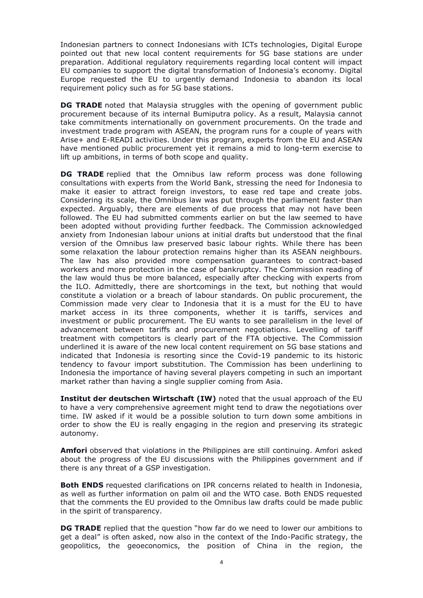Indonesian partners to connect Indonesians with ICTs technologies, Digital Europe pointed out that new local content requirements for 5G base stations are under preparation. Additional regulatory requirements regarding local content will impact EU companies to support the digital transformation of Indonesia's economy. Digital Europe requested the EU to urgently demand Indonesia to abandon its local requirement policy such as for 5G base stations.

**DG TRADE** noted that Malaysia struggles with the opening of government public procurement because of its internal Bumiputra policy. As a result, Malaysia cannot take commitments internationally on government procurements. On the trade and investment trade program with ASEAN, the program runs for a couple of years with Arise+ and E-READI activities. Under this program, experts from the EU and ASEAN have mentioned public procurement yet it remains a mid to long-term exercise to lift up ambitions, in terms of both scope and quality.

**DG TRADE** replied that the Omnibus law reform process was done following consultations with experts from the World Bank, stressing the need for Indonesia to make it easier to attract foreign investors, to ease red tape and create jobs. Considering its scale, the Omnibus law was put through the parliament faster than expected. Arguably, there are elements of due process that may not have been followed. The EU had submitted comments earlier on but the law seemed to have been adopted without providing further feedback. The Commission acknowledged anxiety from Indonesian labour unions at initial drafts but understood that the final version of the Omnibus law preserved basic labour rights. While there has been some relaxation the labour protection remains higher than its ASEAN neighbours. The law has also provided more compensation guarantees to contract-based workers and more protection in the case of bankruptcy. The Commission reading of the law would thus be more balanced, especially after checking with experts from the ILO. Admittedly, there are shortcomings in the text, but nothing that would constitute a violation or a breach of labour standards. On public procurement, the Commission made very clear to Indonesia that it is a must for the EU to have market access in its three components, whether it is tariffs, services and investment or public procurement. The EU wants to see parallelism in the level of advancement between tariffs and procurement negotiations. Levelling of tariff treatment with competitors is clearly part of the FTA objective. The Commission underlined it is aware of the new local content requirement on 5G base stations and indicated that Indonesia is resorting since the Covid-19 pandemic to its historic tendency to favour import substitution. The Commission has been underlining to Indonesia the importance of having several players competing in such an important market rather than having a single supplier coming from Asia.

**Institut der deutschen Wirtschaft (IW)** noted that the usual approach of the EU to have a very comprehensive agreement might tend to draw the negotiations over time. IW asked if it would be a possible solution to turn down some ambitions in order to show the EU is really engaging in the region and preserving its strategic autonomy.

**Amfori** observed that violations in the Philippines are still continuing. Amfori asked about the progress of the EU discussions with the Philippines government and if there is any threat of a GSP investigation.

**Both ENDS** requested clarifications on IPR concerns related to health in Indonesia, as well as further information on palm oil and the WTO case. Both ENDS requested that the comments the EU provided to the Omnibus law drafts could be made public in the spirit of transparency.

**DG TRADE** replied that the question "how far do we need to lower our ambitions to get a deal" is often asked, now also in the context of the Indo-Pacific strategy, the geopolitics, the geoeconomics, the position of China in the region, the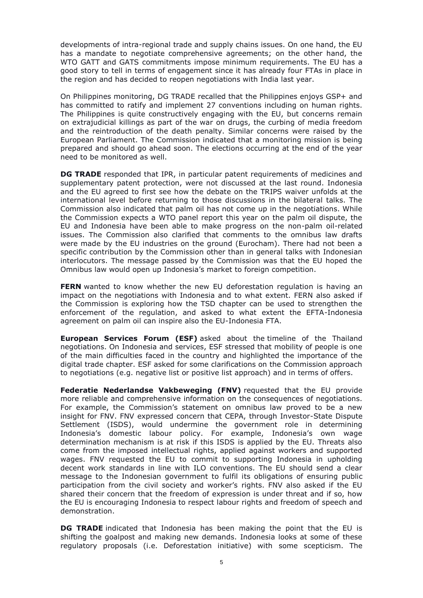developments of intra-regional trade and supply chains issues. On one hand, the EU has a mandate to negotiate comprehensive agreements; on the other hand, the WTO GATT and GATS commitments impose minimum requirements. The EU has a good story to tell in terms of engagement since it has already four FTAs in place in the region and has decided to reopen negotiations with India last year.

On Philippines monitoring, DG TRADE recalled that the Philippines enjoys GSP+ and has committed to ratify and implement 27 conventions including on human rights. The Philippines is quite constructively engaging with the EU, but concerns remain on extrajudicial killings as part of the war on drugs, the curbing of media freedom and the reintroduction of the death penalty. Similar concerns were raised by the European Parliament. The Commission indicated that a monitoring mission is being prepared and should go ahead soon. The elections occurring at the end of the year need to be monitored as well.

**DG TRADE** responded that IPR, in particular patent requirements of medicines and supplementary patent protection, were not discussed at the last round. Indonesia and the EU agreed to first see how the debate on the TRIPS waiver unfolds at the international level before returning to those discussions in the bilateral talks. The Commission also indicated that palm oil has not come up in the negotiations. While the Commission expects a WTO panel report this year on the palm oil dispute, the EU and Indonesia have been able to make progress on the non-palm oil-related issues. The Commission also clarified that comments to the omnibus law drafts were made by the EU industries on the ground (Eurocham). There had not been a specific contribution by the Commission other than in general talks with Indonesian interlocutors. The message passed by the Commission was that the EU hoped the Omnibus law would open up Indonesia's market to foreign competition.

**FERN** wanted to know whether the new EU deforestation regulation is having an impact on the negotiations with Indonesia and to what extent. FERN also asked if the Commission is exploring how the TSD chapter can be used to strengthen the enforcement of the regulation, and asked to what extent the EFTA-Indonesia agreement on palm oil can inspire also the EU-Indonesia FTA.

**European Services Forum (ESF)** asked about the timeline of the Thailand negotiations. On Indonesia and services, ESF stressed that mobility of people is one of the main difficulties faced in the country and highlighted the importance of the digital trade chapter. ESF asked for some clarifications on the Commission approach to negotiations (e.g. negative list or positive list approach) and in terms of offers.

**Federatie Nederlandse Vakbeweging (FNV)** requested that the EU provide more reliable and comprehensive information on the consequences of negotiations. For example, the Commission's statement on omnibus law proved to be a new insight for FNV. FNV expressed concern that CEPA, through Investor-State Dispute Settlement (ISDS), would undermine the government role in determining Indonesia's domestic labour policy. For example, Indonesia's own wage determination mechanism is at risk if this ISDS is applied by the EU. Threats also come from the imposed intellectual rights, applied against workers and supported wages. FNV requested the EU to commit to supporting Indonesia in upholding decent work standards in line with ILO conventions. The EU should send a clear message to the Indonesian government to fulfil its obligations of ensuring public participation from the civil society and worker's rights. FNV also asked if the EU shared their concern that the freedom of expression is under threat and if so, how the EU is encouraging Indonesia to respect labour rights and freedom of speech and demonstration.

**DG TRADE** indicated that Indonesia has been making the point that the EU is shifting the goalpost and making new demands. Indonesia looks at some of these regulatory proposals (i.e. Deforestation initiative) with some scepticism. The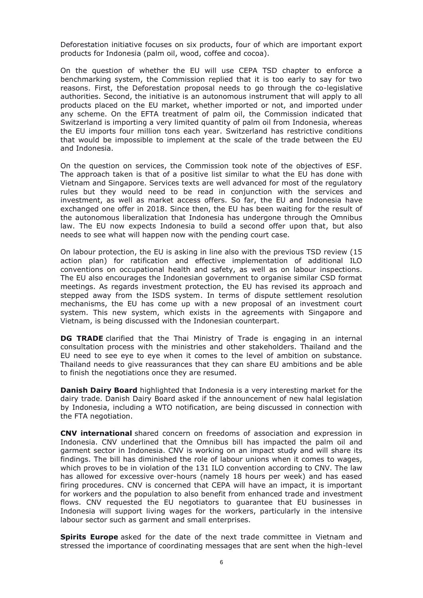Deforestation initiative focuses on six products, four of which are important export products for Indonesia (palm oil, wood, coffee and cocoa).

On the question of whether the EU will use CEPA TSD chapter to enforce a benchmarking system, the Commission replied that it is too early to say for two reasons. First, the Deforestation proposal needs to go through the co-legislative authorities. Second, the initiative is an autonomous instrument that will apply to all products placed on the EU market, whether imported or not, and imported under any scheme. On the EFTA treatment of palm oil, the Commission indicated that Switzerland is importing a very limited quantity of palm oil from Indonesia, whereas the EU imports four million tons each year. Switzerland has restrictive conditions that would be impossible to implement at the scale of the trade between the EU and Indonesia.

On the question on services, the Commission took note of the objectives of ESF. The approach taken is that of a positive list similar to what the EU has done with Vietnam and Singapore. Services texts are well advanced for most of the regulatory rules but they would need to be read in conjunction with the services and investment, as well as market access offers. So far, the EU and Indonesia have exchanged one offer in 2018. Since then, the EU has been waiting for the result of the autonomous liberalization that Indonesia has undergone through the Omnibus law. The EU now expects Indonesia to build a second offer upon that, but also needs to see what will happen now with the pending court case.

On labour protection, the EU is asking in line also with the previous TSD review (15 action plan) for ratification and effective implementation of additional ILO conventions on occupational health and safety, as well as on labour inspections. The EU also encourages the Indonesian government to organise similar CSD format meetings. As regards investment protection, the EU has revised its approach and stepped away from the ISDS system. In terms of dispute settlement resolution mechanisms, the EU has come up with a new proposal of an investment court system. This new system, which exists in the agreements with Singapore and Vietnam, is being discussed with the Indonesian counterpart.

**DG TRADE** clarified that the Thai Ministry of Trade is engaging in an internal consultation process with the ministries and other stakeholders. Thailand and the EU need to see eye to eye when it comes to the level of ambition on substance. Thailand needs to give reassurances that they can share EU ambitions and be able to finish the negotiations once they are resumed.

**Danish Dairy Board** highlighted that Indonesia is a very interesting market for the dairy trade. Danish Dairy Board asked if the announcement of new halal legislation by Indonesia, including a WTO notification, are being discussed in connection with the FTA negotiation.

**CNV international** shared concern on freedoms of association and expression in Indonesia. CNV underlined that the Omnibus bill has impacted the palm oil and garment sector in Indonesia. CNV is working on an impact study and will share its findings. The bill has diminished the role of labour unions when it comes to wages, which proves to be in violation of the 131 ILO convention according to CNV. The law has allowed for excessive over-hours (namely 18 hours per week) and has eased firing procedures. CNV is concerned that CEPA will have an impact, it is important for workers and the population to also benefit from enhanced trade and investment flows. CNV requested the EU negotiators to guarantee that EU businesses in Indonesia will support living wages for the workers, particularly in the intensive labour sector such as garment and small enterprises.

**Spirits Europe** asked for the date of the next trade committee in Vietnam and stressed the importance of coordinating messages that are sent when the high-level